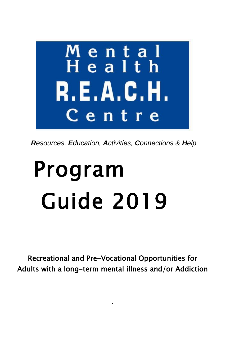

Resources, Education, Activities, Connections & Help

# Program **Guide 2019**

Recreational and Pre-Vocational Opportunities for Adults with a long-term mental illness and/or Addiction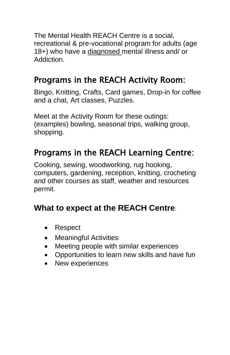The Mental Health REACH Centre is a social, recreational & pre-vocational program for adults (age 18+) who have a diagnosed mental illness and/ or Addiction.

## Programs in the REACH Activity Room:

Bingo, Knitting, Crafts, Card games, Drop-in for coffee and a chat, Art classes, Puzzles.

Meet at the Activity Room for these outings: (examples) bowling, seasonal trips, walking group, shopping.

## Programs in the REACH Learning Centre:

Cooking, sewing, woodworking, rug hooking, computers, gardening, reception, knitting, crocheting and other courses as staff, weather and resources permit.

#### **What to expect at the REACH Centre**:

- Respect
- Meaningful Activities
- Meeting people with similar experiences
- Opportunities to learn new skills and have fun
- New experiences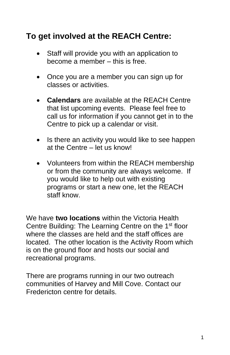#### **To get involved at the REACH Centre:**

- Staff will provide you with an application to become a member – this is free.
- Once you are a member you can sign up for classes or activities.
- **Calendars** are available at the REACH Centre that list upcoming events. Please feel free to call us for information if you cannot get in to the Centre to pick up a calendar or visit.
- Is there an activity you would like to see happen at the Centre – let us know!
- Volunteers from within the REACH membership or from the community are always welcome. If you would like to help out with existing programs or start a new one, let the REACH staff know.

We have **two locations** within the Victoria Health Centre Building: The Learning Centre on the 1<sup>st</sup> floor where the classes are held and the staff offices are located. The other location is the Activity Room which is on the ground floor and hosts our social and recreational programs.

There are programs running in our two outreach communities of Harvey and Mill Cove. Contact our Fredericton centre for details.